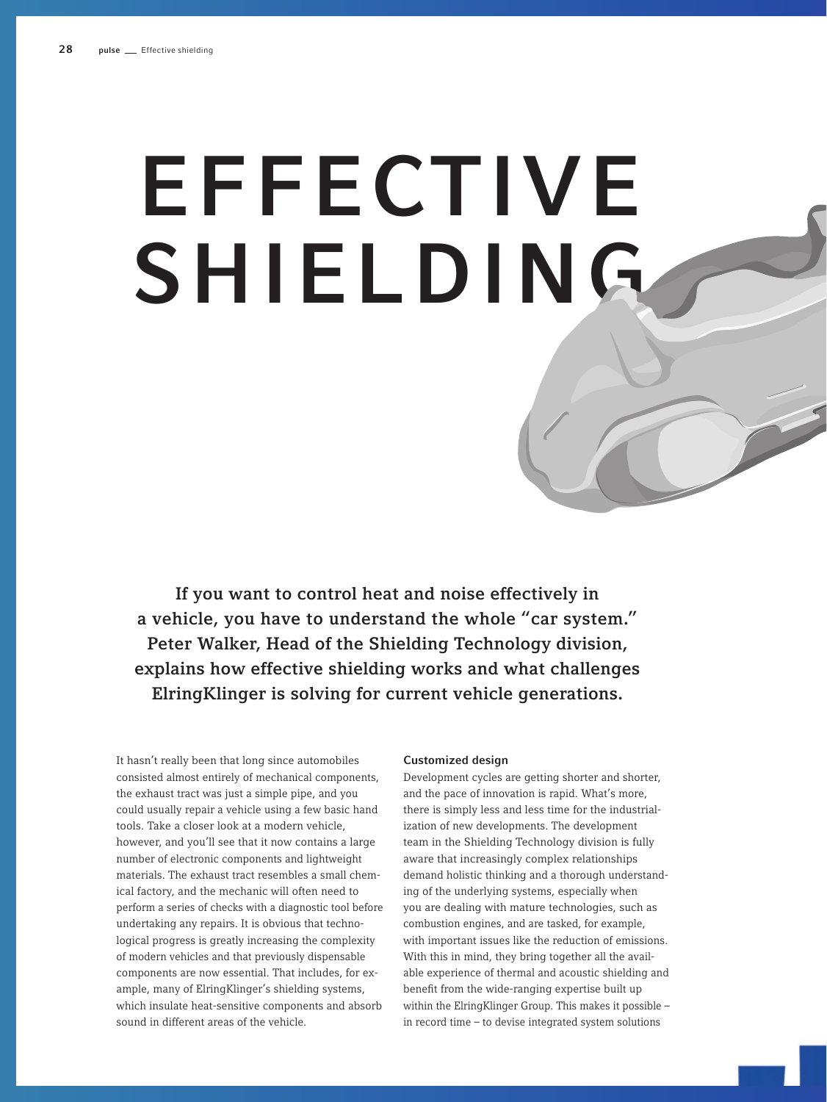# EFFECTIVE SHIELDING

If you want to control heat and noise effectively in a vehicle, you have to understand the whole "car system." Peter Walker, Head of the Shielding Technology division, explains how effective shielding works and what challenges ElringKlinger is solving for current vehicle generations.

It hasn't really been that long since automobiles consisted almost entirely of mechanical components, the exhaust tract was just a simple pipe, and you could usually repair a vehicle using a few basic hand tools. Take a closer look at a modern vehicle, however, and you'll see that it now contains a large number of electronic components and lightweight materials. The exhaust tract resembles a small chemical factory, and the mechanic will often need to perform a series of checks with a diagnostic tool before undertaking any repairs. It is obvious that technological progress is greatly increasing the complexity of modern vehicles and that previously dispensable components are now essential. That includes, for example, many of ElringKlinger's shielding systems, which insulate heat-sensitive components and absorb sound in different areas of the vehicle.

## Customized design

Development cycles are getting shorter and shorter, and the pace of innovation is rapid. What's more, there is simply less and less time for the industrialization of new developments. The development team in the Shielding Technology division is fully aware that increasingly complex relationships demand holistic thinking and a thorough understanding of the underlying systems, especially when you are dealing with mature technologies, such as combustion engines, and are tasked, for example, with important issues like the reduction of emissions. With this in mind, they bring together all the available experience of thermal and acoustic shielding and benefit from the wide-ranging expertise built up within the ElringKlinger Group. This makes it possible – in record time – to devise integrated system solutions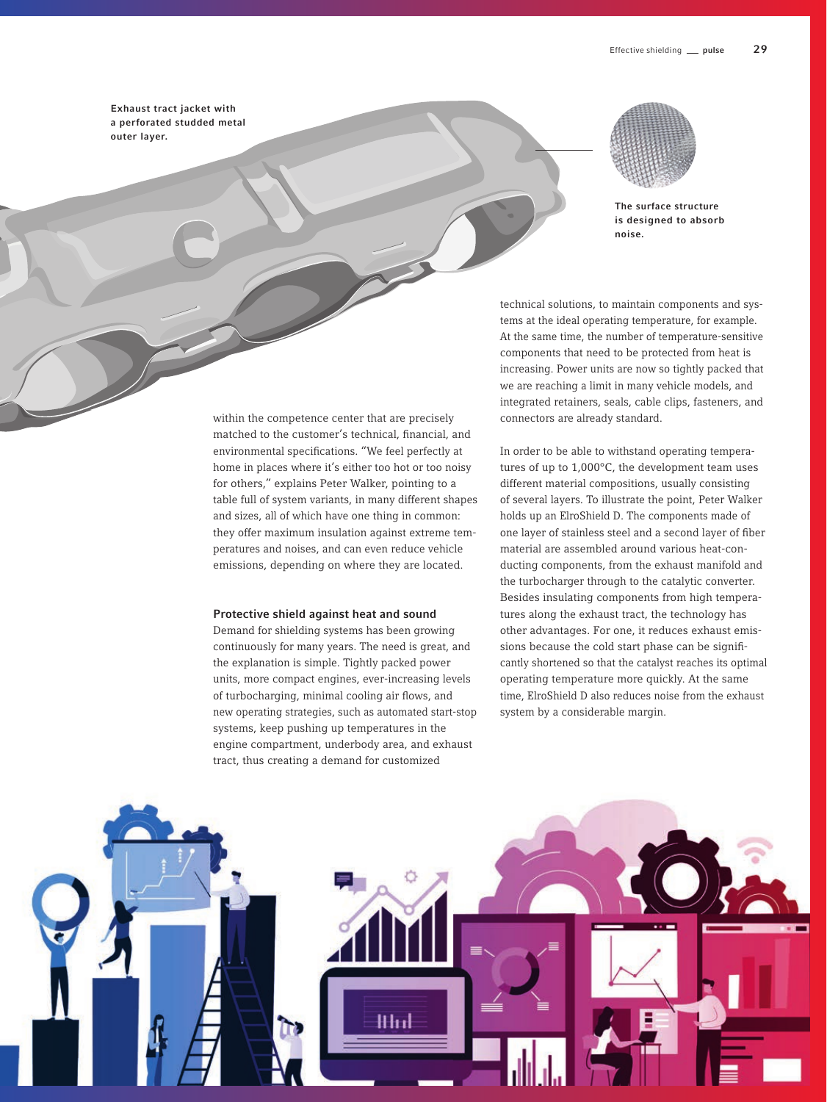Exhaust tract jacket with a perforated studded metal outer layer.



The surface structure is designed to absorb noise.

technical solutions, to maintain components and systems at the ideal operating temperature, for example. At the same time, the number of temperature-sensitive components that need to be protected from heat is increasing. Power units are now so tightly packed that we are reaching a limit in many vehicle models, and integrated retainers, seals, cable clips, fasteners, and connectors are already standard.

In order to be able to withstand operating temperatures of up to 1,000°C, the development team uses different material compositions, usually consisting of several layers. To illustrate the point, Peter Walker holds up an ElroShield D. The components made of one layer of stainless steel and a second layer of fiber material are assembled around various heat-conducting components, from the exhaust manifold and the turbocharger through to the catalytic converter. Besides insulating components from high temperatures along the exhaust tract, the technology has other advantages. For one, it reduces exhaust emissions because the cold start phase can be significantly shortened so that the catalyst reaches its optimal operating temperature more quickly. At the same time, ElroShield D also reduces noise from the exhaust system by a considerable margin.



within the competence center that are precisely matched to the customer's technical, financial, and environmental specifications. "We feel perfectly at home in places where it's either too hot or too noisy for others," explains Peter Walker, pointing to a table full of system variants, in many different shapes and sizes, all of which have one thing in common: they offer maximum insulation against extreme temperatures and noises, and can even reduce vehicle emissions, depending on where they are located.

### Protective shield against heat and sound

Demand for shielding systems has been growing continuously for many years. The need is great, and the explanation is simple. Tightly packed power units, more compact engines, ever-increasing levels of turbocharging, minimal cooling air flows, and new operating strategies, such as automated start-stop systems, keep pushing up temperatures in the engine compartment, underbody area, and exhaust tract, thus creating a demand for customized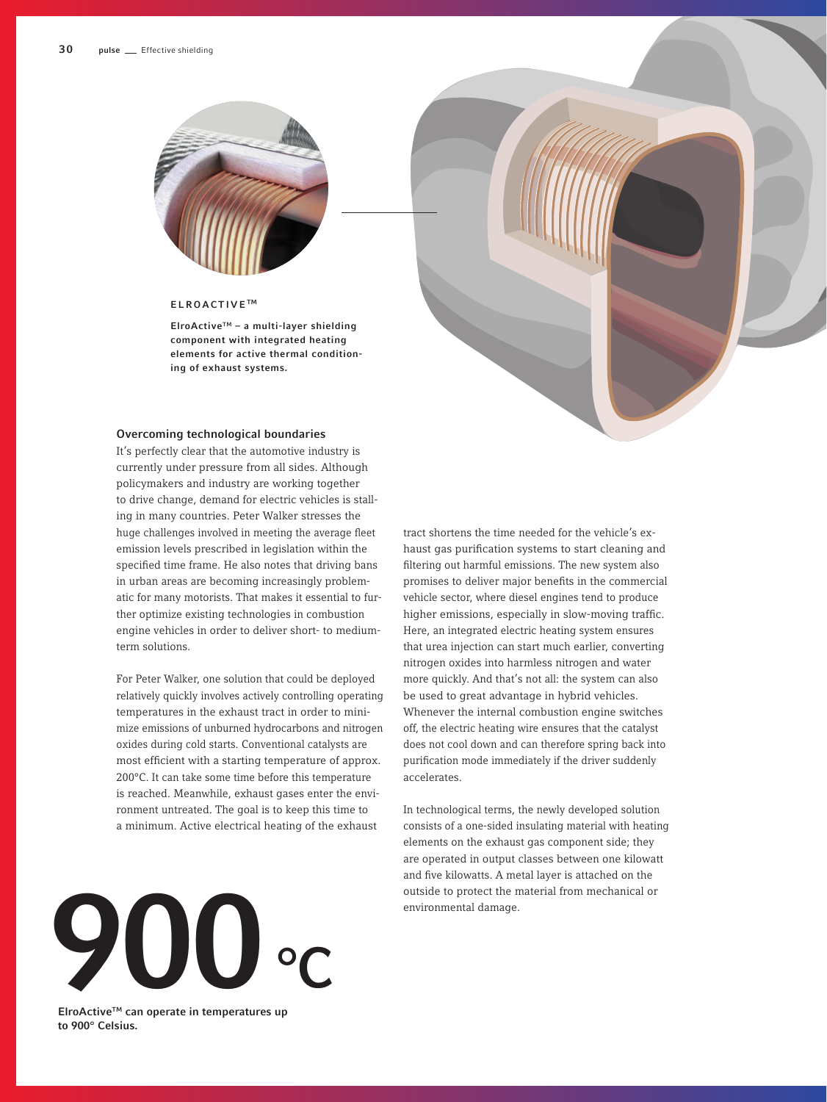

# ELROACTIVE<sup>™</sup>

ElroActiveTM – a multi-layer shielding component with integrated heating elements for active thermal conditioning of exhaust systems.

### Overcoming technological boundaries

It's perfectly clear that the automotive industry is currently under pressure from all sides. Although policymakers and industry are working together to drive change, demand for electric vehicles is stalling in many countries. Peter Walker stresses the huge challenges involved in meeting the average fleet emission levels prescribed in legislation within the specified time frame. He also notes that driving bans in urban areas are becoming increasingly problematic for many motorists. That makes it essential to further optimize existing technologies in combustion engine vehicles in order to deliver short- to mediumterm solutions.

For Peter Walker, one solution that could be deployed relatively quickly involves actively controlling operating temperatures in the exhaust tract in order to minimize emissions of unburned hydrocarbons and nitrogen oxides during cold starts. Conventional catalysts are most efficient with a starting temperature of approx. 200°C. It can take some time before this temperature is reached. Meanwhile, exhaust gases enter the environment untreated. The goal is to keep this time to a minimum. Active electrical heating of the exhaust

tract shortens the time needed for the vehicle's exhaust gas purification systems to start cleaning and filtering out harmful emissions. The new system also promises to deliver major benefits in the commercial vehicle sector, where diesel engines tend to produce higher emissions, especially in slow-moving traffic. Here, an integrated electric heating system ensures that urea injection can start much earlier, converting nitrogen oxides into harmless nitrogen and water more quickly. And that's not all: the system can also be used to great advantage in hybrid vehicles. Whenever the internal combustion engine switches off, the electric heating wire ensures that the catalyst does not cool down and can therefore spring back into purification mode immediately if the driver suddenly accelerates.

In technological terms, the newly developed solution consists of a one-sided insulating material with heating elements on the exhaust gas component side; they are operated in output classes between one kilowatt and five kilowatts. A metal layer is attached on the outside to protect the material from mechanical or



ElroActiveTM can operate in temperatures up to 900° Celsius.